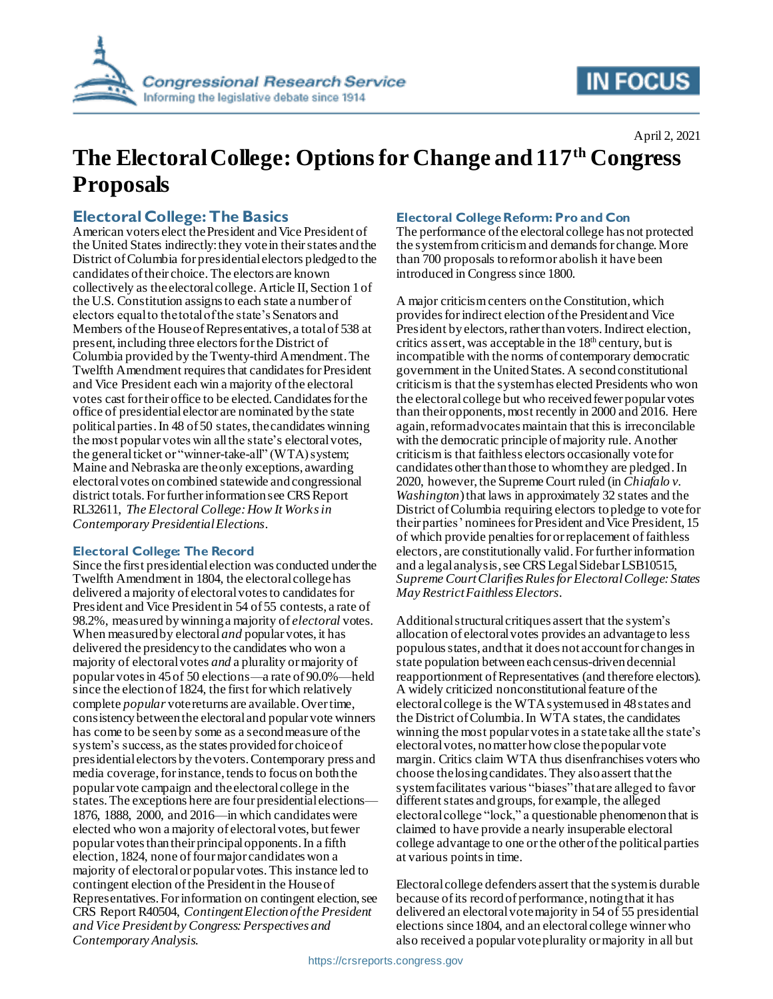

# **IN FOCUS**

## **The Electoral College: Options for Change and 117th Congress Proposals**

## **Electoral College: The Basics**

American voters elect the President and Vice President of the United States indirectly: they vote in their states and the District of Columbia for presidential electors pledged to the candidates of their choice. The electors are known collectively as the electoral college. Article II, Section 1 of the U.S. Constitution assigns to each state a number of electors equal to the total of the state's Senators and Members of the House of Representatives, a total of 538 at present, including three electors for the District of Columbia provided by the Twenty-third Amendment. The Twelfth Amendment requires that candidates for President and Vice President each win a majority of the electoral votes cast for their office to be elected.Candidates for the office of presidential elector are nominated by the state political parties. In 48 of 50 states, the candidates winning the most popular votes win all the state's electoral votes, the general ticket or "winner-take-all" (WTA) system; Maine and Nebraska are the only exceptions, awarding electoral votes on combined statewide and congressional district totals. For further information see CRS Report RL32611, *The Electoral College: How It Works in Contemporary Presidential Elections*.

### **Electoral College: The Record**

Since the first presidential election was conducted under the Twelfth Amendment in 1804, the electoral collegehas delivered a majority of electoral votes to candidates for President and Vice President in 54 of 55 contests, a rate of 98.2%, measured by winning a majority of *electoral* votes. When measured by electoral *and* popular votes, it has delivered the presidency to the candidates who won a majority of electoral votes *and* a plurality or majority of popular votes in 45 of 50 elections—a rate of 90.0%—held since the election of 1824, the first for which relatively complete *popular* vote returns are available. Over time, consistency between the electoral and popular vote winners has come to be seen by some as a second measure of the system's success, as the states provided for choice of presidential electors by the voters. Contemporary press and media coverage, for instance, tends to focus on both the popular vote campaign and the electoral college in the states.The exceptions here are four presidential elections— 1876, 1888, 2000, and 2016—in which candidates were elected who won a majority of electoral votes, but fewer popular votes than their principal opponents. In a fifth election, 1824, none of four major candidates won a majority of electoral or popular votes. This instance led to contingent election of the President in the House of Representatives.For information on contingent election, see CRS Report R40504, *Contingent Election ofthe President and Vice President by Congress: Perspectives and Contemporary Analysis*.

### **Electoral College Reform: Pro and Con**

The performance of the electoral college has not protected the system from criticism and demands for change. More than 700 proposals to reform or abolish it have been introduced in Congress since 1800.

A major criticism centers on the Constitution, which provides for indirect election of the President and Vice President by electors, rather than voters. Indirect election, critics assert, was acceptable in the  $18<sup>th</sup>$  century, but is incompatible with the norms of contemporary democratic government in the United States. A second constitutional criticism is that the system has elected Presidents who won the electoral college but who receivedfewer popular votes than their opponents, most recently in 2000 and 2016. Here again, reform advocates maintain that this is irreconcilable with the democratic principle of majority rule. Another criticismis that faithless electors occasionally vote for candidates other than those to whom they are pledged. In 2020, however, the Supreme Court ruled (in *Chiafalo v. Washington*) that laws in approximately 32 states and the District of Columbia requiring electors to pledge to vote for their parties' nominees for President and Vice President, 15 of which provide penalties for or replacement of faithless electors, are constitutionally valid. For further information and a legal analysis, see CRS Legal Sidebar LSB10515, *Supreme Court Clarifies Rules for Electoral College: States May Restrict Faithless Electors*.

Additional structural critiques assert that the system's allocation of electoral votes provides an advantage to less populous states, and that it does not account for changes in state population between each census-driven decennial reapportionment of Representatives (and therefore electors). A widely criticized nonconstitutional feature of the electoral college is the WTAsystem used in 48 states and the District of Columbia. In WTA states, the candidates winning the most popular votes in a statetake all the state's electoral votes, no matter how close the popular vote margin. Critics claim WTA thus disenfranchises voters who choose the losing candidates. They also assert thatthe system facilitates various "biases" that are alleged to favor different states and groups, for example, the alleged electoral college "lock," a questionable phenomenon that is claimed to have provide a nearly insuperable electoral college advantage to one or the other of the political parties at various points in time.

Electoral college defenders assert that the system is durable because of its record of performance, noting that it has delivered an electoral vote majority in 54 of 55 presidential elections since 1804, and an electoral college winner who also received a popular vote plurality or majority in all but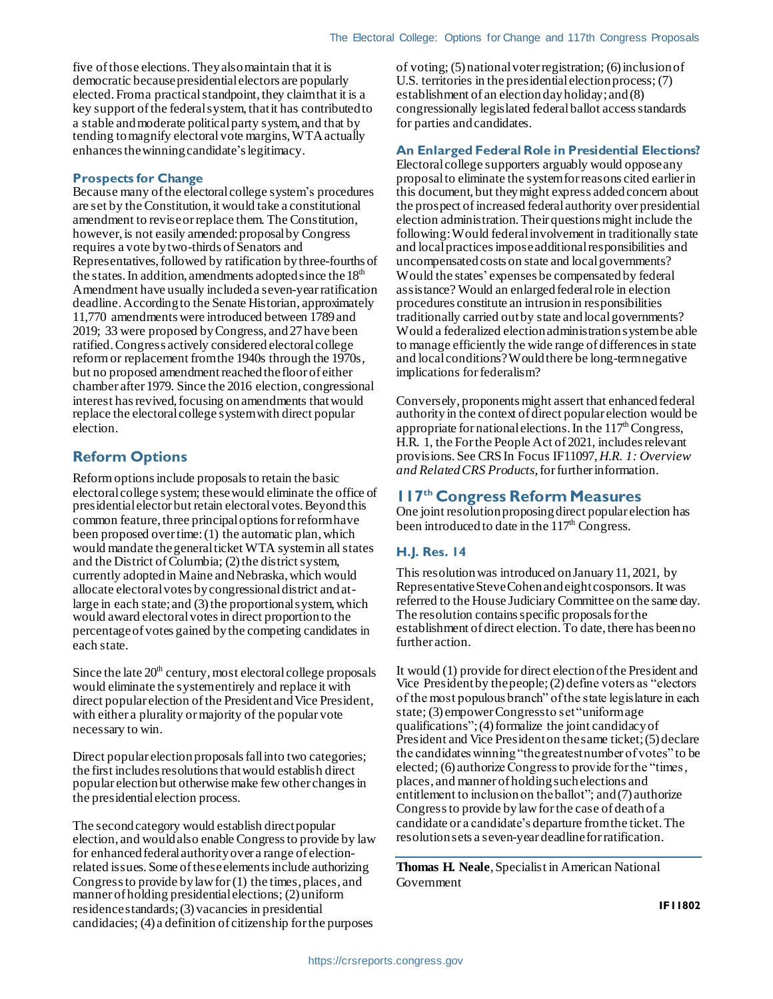five of those elections. They also maintain that it is democratic because presidential electors are popularly elected. From a practical standpoint, they claim that it is a key support of the federal system, that it has contributed to a stable and moderate political party system, and that by tending to magnify electoral vote margins, WTA actually enhances the winning candidate's legitimacy.

#### **Prospects for Change**

Because many of the electoral college system's procedures are set by the Constitution, it would take a constitutional amendment to revise or replace them. The Constitution, however, is not easily amended: proposal by Congress requires a vote by two-thirds of Senators and Representatives, followed by ratification by three-fourths of the states. In addition, amendments adopted since the  $18<sup>th</sup>$ Amendment have usually included a seven-year ratification deadline.According to the Senate Historian, approximately 11,770 amendments were introduced between 1789 and 2019; 33 were proposed by Congress, and 27 have been ratified. Congress actively considered electoral college reform or replacement from the 1940s through the 1970s, but no proposed amendment reached the floor of either chamber after 1979. Since the 2016 election, congressional interest has revived, focusing on amendments that would replace the electoral college system with direct popular election.

## **Reform Options**

Reform options include proposals to retain the basic electoral college system; these would eliminate the office of presidential elector but retain electoral votes. Beyond this common feature, three principal options for reform have been proposed over time: (1) the automatic plan, which would mandate the general ticket WTA system in all states and the District of Columbia; (2) the district system, currently adopted in Maine and Nebraska, which would allocate electoral votes by congressional district and atlarge in each state; and (3) the proportional system, which would award electoral votes in direct proportion to the percentage of votes gained by the competing candidates in each state.

Since the late  $20<sup>th</sup>$  century, most electoral college proposals would eliminate the system entirely and replace it with direct popular election of the President and Vice President, with either a plurality or majority of the popular vote necessary to win.

Direct popular election proposals fall into two categories; the first includes resolutions that would establish direct popular election but otherwise make few other changes in the presidential election process.

The second category would establish direct popular election, and would also enable Congress to provide by law for enhanced federal authority over a range of electionrelated issues. Some of these elements include authorizing Congress to provide by law for (1) the times, places, and manner of holding presidential elections; (2) uniform residence standards;(3) vacancies in presidential candidacies; (4) a definition of citizenship for the purposes

of voting; (5) national voter registration; (6) inclusion of U.S. territories in the presidential election process; (7) establishment of an election day holiday;and (8) congressionally legislated federal ballot access standards for parties and candidates.

#### **An Enlarged Federal Role in Presidential Elections?**

Electoral college supporters arguably would oppose any proposal to eliminate the system for reasons cited earlier in this document, but they might express added concern about the prospect ofincreased federal authority over presidential election administration. Their questions might include the following:Would federal involvement in traditionally state and local practices impose additional responsibilities and uncompensated costs on state and local governments? Would the states' expenses be compensated by federal assistance? Would an enlarged federal role in election procedures constitute an intrusion in responsibilities traditionally carried out by state and localgovernments? Would a federalized election administration system be able to manage efficiently the wide range of differencesin state and local conditions? Would there be long-term negative implications for federalism?

Conversely, proponents might assert that enhanced federal authority in the context of direct popular election would be appropriate for national elections. In the  $117<sup>th</sup> Congress$ , H.R. 1, the For the People Act of 2021, includes relevant provisions. See CRS In Focus IF11097, *H.R. 1: Overview and Related CRS Products*, for further information.

## **117th Congress Reform Measures**

One joint resolution proposing direct popular election has been introduced to date in the  $117<sup>th</sup>$  Congress.

#### **H.J. Res. 14**

This resolution was introduced on January 11, 2021, by Representative Steve Cohen and eight cosponsors. It was referred to the House Judiciary Committee on the same day. The resolution contains specific proposals for the establishment of direct election. To date, there has been no further action.

It would (1) provide for direct election of the President and Vice President by the people;(2) define voters as "electors of the most populous branch" of the state legislature in each state; (3) empower Congress to set "uniform age qualifications";(4) formalize the joint candidacy of President and Vice President on the same ticket;(5) declare the candidates winning "the greatest number of votes" to be elected; (6) authorize Congress to provide for the "times, places, and manner of holding such elections and entitlement to inclusion on the ballot"; and(7) authorize Congress to provide by law for the case of death of a candidate or a candidate's departure from the ticket. The resolution sets a seven-year deadline for ratification.

**Thomas H. Neale**, Specialist in American National Government